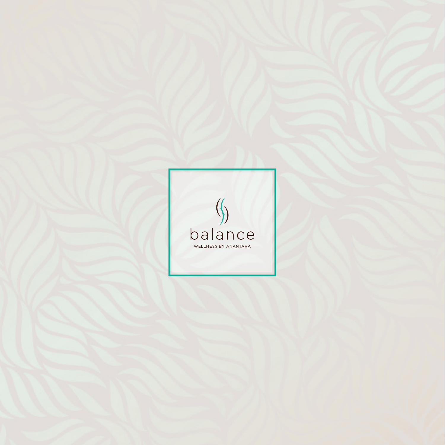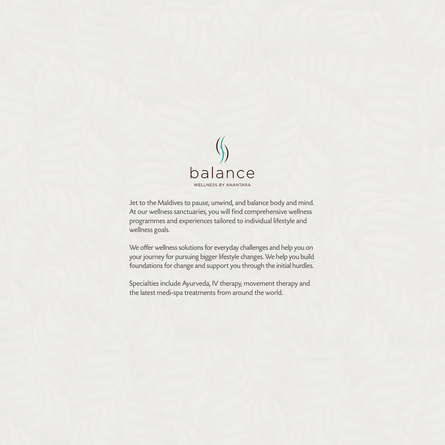

Jet to the Maldives to pause, unwind, and balance body and mind. At our wellness sanctuaries, you will find comprehensive wellness programmes and experiences tailored to individual lifestyle and wellness goals.

We offer wellness solutions for everyday challenges and help you on your journey for pursuing bigger lifestyle changes. We help you build foundations for change and support you through the initial hurdles.

Specialties include Ayurveda, IV therapy, movement therapy and the latest medi-spa treatments from around the world.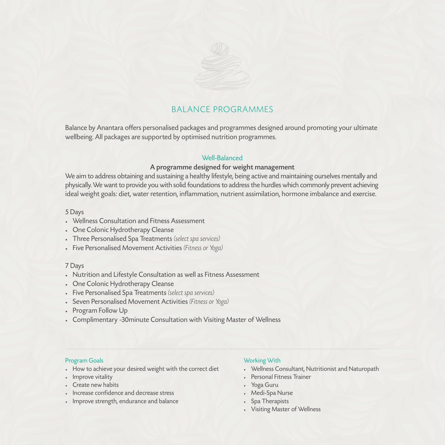

### BALANCE PROGRAMMES

Balance by Anantara offers personalised packages and programmes designed around promoting your ultimate wellbeing. All packages are supported by optimised nutrition programmes.

### Well-Balanced

#### A programme designed for weight management

We aim to address obtaining and sustaining a healthy lifestyle, being active and maintaining ourselves mentally and physically. We want to provide you with solid foundations to address the hurdles which commonly prevent achieving ideal weight goals: diet, water retention, inflammation, nutrient assimilation, hormone imbalance and exercise.

#### 5 Days

- Wellness Consultation and Fitness Assessment
- One Colonic Hydrotherapy Cleanse
- Three Personalised Spa Treatments *(select spa services)*
- Five Personalised Movement Activities *(Fitness or Yoga)*

#### 7 Days

- Nutrition and Lifestyle Consultation as well as Fitness Assessment
- One Colonic Hydrotherapy Cleanse
- Five Personalised Spa Treatments *(select spa services)*
- Seven Personalised Movement Activities *(Fitness or Yoga)*
- Program Follow Up
- Complimentary -30minute Consultation with Visiting Master of Wellness

#### Program Goals

- How to achieve your desired weight with the correct diet
- Improve vitality
- Create new habits
- Increase confidence and decrease stress
- Improve strength, endurance and balance

#### Working With

- Wellness Consultant, Nutritionist and Naturopath
- Personal Fitness Trainer
- Yoga Guru
- Medi-Spa Nurse
- Spa Therapists
- Visiting Master of Wellness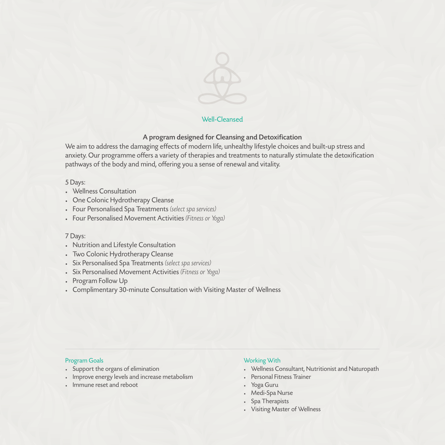

#### Well-Cleansed

### A program designed for Cleansing and Detoxification

We aim to address the damaging effects of modern life, unhealthy lifestyle choices and built-up stress and anxiety. Our programme offers a variety of therapies and treatments to naturally stimulate the detoxification pathways of the body and mind, offering you a sense of renewal and vitality.

#### 5 Days:

- Wellness Consultation
- One Colonic Hydrotherapy Cleanse
- Four Personalised Spa Treatments *(select spa services)*
- Four Personalised Movement Activities *(Fitness or Yoga)*

#### 7 Days:

- Nutrition and Lifestyle Consultation
- Two Colonic Hydrotherapy Cleanse
- Six Personalised Spa Treatments *(select spa services)*
- Six Personalised Movement Activities *(Fitness or Yoga)*
- Program Follow Up
- Complimentary 30-minute Consultation with Visiting Master of Wellness

#### Program Goals

- Support the organs of elimination
- Improve energy levels and increase metabolism
- Immune reset and reboot

#### Working With

- Wellness Consultant, Nutritionist and Naturopath
- Personal Fitness Trainer
- Yoga Guru
- Medi-Spa Nurse
- Spa Therapists
- Visiting Master of Wellness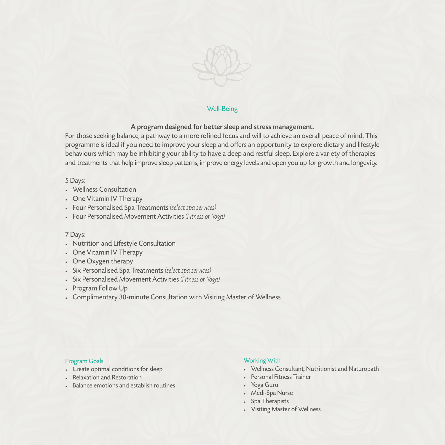

#### Well-Being

#### A program designed for better sleep and stress management.

For those seeking balance, a pathway to a more refined focus and will to achieve an overall peace of mind. This programme is ideal if you need to improve your sleep and offers an opportunity to explore dietary and lifestyle behaviours which may be inhibiting your ability to have a deep and restful sleep. Explore a variety of therapies and treatments that help improve sleep patterns, improve energy levels and open you up for growth and longevity.

#### 5 Days:

- Wellness Consultation
- One Vitamin IV Therapy
- Four Personalised Spa Treatments *(select spa services)*
- Four Personalised Movement Activities *(Fitness or Yoga)*

#### 7 Days:

- Nutrition and Lifestyle Consultation
- One Vitamin IV Therapy
- One Oxygen therapy
- Six Personalised Spa Treatments *(select spa services)*
- Six Personalised Movement Activities *(Fitness or Yoga)*
- Program Follow Up
- Complimentary 30-minute Consultation with Visiting Master of Wellness

#### Program Goals

- Create optimal conditions for sleep
- Relaxation and Restoration
- Balance emotions and establish routines

#### Working With

- Wellness Consultant, Nutritionist and Naturopath
- Personal Fitness Trainer
- Yoga Guru
- Medi-Spa Nurse
- Spa Therapists
- Visiting Master of Wellness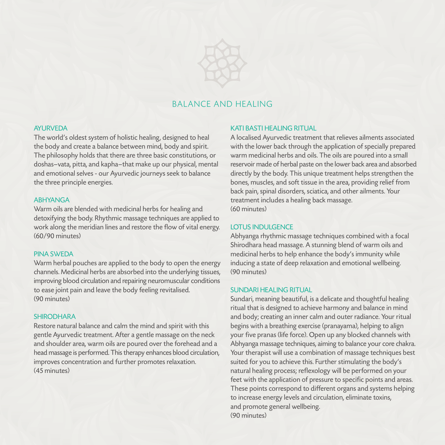

### BAI ANCE AND HEAI ING

#### **AYLIRVEDA**

The world's oldest system of holistic healing, designed to heal the body and create a balance between mind, body and spirit. The philosophy holds that there are three basic constitutions, or doshas—vata, pitta, and kapha—that make up our physical, mental and emotional selves - our Ayurvedic journeys seek to balance the three principle energies.

#### ABHYANGA

Warm oils are blended with medicinal herbs for healing and detoxifying the body. Rhythmic massage techniques are applied to work along the meridian lines and restore the flow of vital energy. (60/90 minutes)

#### PINA SWEDA

Warm herbal pouches are applied to the body to open the energy channels. Medicinal herbs are absorbed into the underlying tissues, improving blood circulation and repairing neuromuscular conditions to ease joint pain and leave the body feeling revitalised. (90 minutes)

#### SHIRODHARA

Restore natural balance and calm the mind and spirit with this gentle Ayurvedic treatment. After a gentle massage on the neck and shoulder area, warm oils are poured over the forehead and a head massage is performed. This therapy enhances blood circulation, improves concentration and further promotes relaxation. (45 minutes)

#### KATI BASTI HEALING RITUAL

A localised Ayurvedic treatment that relieves ailments associated with the lower back through the application of specially prepared warm medicinal herbs and oils. The oils are poured into a small reservoir made of herbal paste on the lower back area and absorbed directly by the body. This unique treatment helps strengthen the bones, muscles, and soft tissue in the area, providing relief from back pain, spinal disorders, sciatica, and other ailments. Your treatment includes a healing back massage. (60 minutes)

#### LOTUS INDULGENCE

Abhyanga rhythmic massage techniques combined with a focal Shirodhara head massage. A stunning blend of warm oils and medicinal herbs to help enhance the body's immunity while inducing a state of deep relaxation and emotional wellbeing. (90 minutes)

#### SUNDARI HEALING RITUAL

Sundari, meaning beautiful, is a delicate and thoughtful healing ritual that is designed to achieve harmony and balance in mind and body; creating an inner calm and outer radiance. Your ritual begins with a breathing exercise (pranayama), helping to align your five pranas (life force). Open up any blocked channels with Abhyanga massage techniques, aiming to balance your core chakra. Your therapist will use a combination of massage techniques best suited for you to achieve this. Further stimulating the body's natural healing process; reflexology will be performed on your feet with the application of pressure to specific points and areas. These points correspond to different organs and systems helping to increase energy levels and circulation, eliminate toxins, and promote general wellbeing. (90 minutes)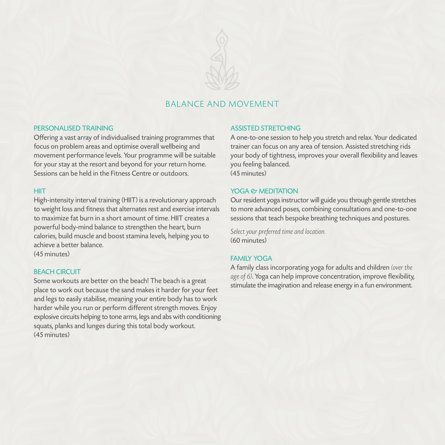

### BAI ANCE AND MOVEMENT

#### PERSONALISED TRAINING

Offering a vast array of individualised training programmes that focus on problem areas and optimise overall wellbeing and movement performance levels. Your programme will be suitable for your stay at the resort and beyond for your return home. Sessions can be held in the Fitness Centre or outdoors.

#### **HIIT**

High-intensity interval training (HIIT) is a revolutionary approach to weight loss and fitness that alternates rest and exercise intervals to maximize fat burn in a short amount of time. HIIT creates a powerful body-mind balance to strengthen the heart, burn calories, build muscle and boost stamina levels, helping you to achieve a better balance.

(45 minutes)

#### **BEACH CIRCUIT**

Some workouts are better on the beach! The beach is a great place to work out because the sand makes it harder for your feet and legs to easily stabilise, meaning your entire body has to work harder while you run or perform different strength moves. Enjoy explosive circuits helping to tone arms, legs and abs with conditioning squats, planks and lunges during this total body workout. (45 minutes)

#### ASSISTED STRETCHING

A one-to-one session to help you stretch and relax. Your dedicated trainer can focus on any area of tension. Assisted stretching rids your body of tightness, improves your overall flexibility and leaves you feeling balanced.  $(45$  minutes)

#### YOGA *PT MEDITATION*

Our resident yoga instructor will guide you through gentle stretches to more advanced poses, combining consultations and one-to-one sessions that teach bespoke breathing techniques and postures.

*Select your preferred time and location.* (60 minutes)

#### **FAMILY YOGA**

A family class incorporating yoga for adults and children *(over the age of 6)*. Yoga can help improve concentration, improve flexibility, stimulate the imagination and release energy in a fun environment.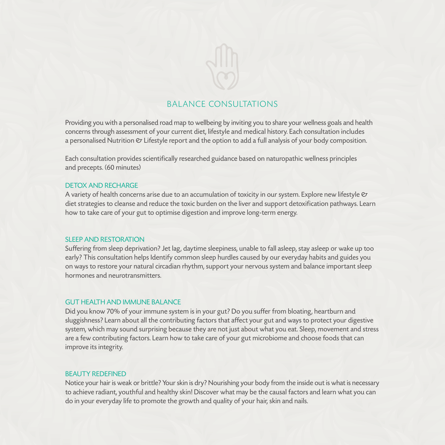

### BALANCE CONSULTATIONS

Providing you with a personalised road map to wellbeing by inviting you to share your wellness goals and health concerns through assessment of your current diet, lifestyle and medical history. Each consultation includes a personalised Nutrition  $\mathfrak o$  Lifestyle report and the option to add a full analysis of your body composition.

Each consultation provides scientifically researched guidance based on naturopathic wellness principles and precepts. (60 minutes)

#### DETOX AND RECHARGE

A variety of health concerns arise due to an accumulation of toxicity in our system. Explore new lifestyle  $\varnothing$ diet strategies to cleanse and reduce the toxic burden on the liver and support detoxification pathways. Learn how to take care of your gut to optimise digestion and improve long-term energy.

#### SLEEP AND RESTORATION

Suffering from sleep deprivation? Jet lag, daytime sleepiness, unable to fall asleep, stay asleep or wake up too early? This consultation helps Identify common sleep hurdles caused by our everyday habits and guides you on ways to restore your natural circadian rhythm, support your nervous system and balance important sleep hormones and neurotransmitters.

#### GUT HEALTH AND IMMUNE BALANCE

Did you know 70% of your immune system is in your gut? Do you suffer from bloating, heartburn and sluggishness? Learn about all the contributing factors that affect your gut and ways to protect your digestive system, which may sound surprising because they are not just about what you eat. Sleep, movement and stress are a few contributing factors. Learn how to take care of your gut microbiome and choose foods that can improve its integrity.

#### BEAUTY REDEFINED

Notice your hair is weak or brittle? Your skin is dry? Nourishing your body from the inside out is what is necessary to achieve radiant, youthful and healthy skin! Discover what may be the causal factors and learn what you can do in your everyday life to promote the growth and quality of your hair, skin and nails.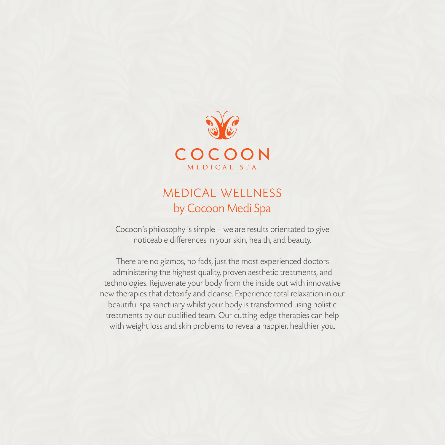

# MEDICAL WELLNESS by Cocoon Medi Spa

Cocoon's philosophy is simple – we are results orientated to give noticeable differences in your skin, health, and beauty.

There are no gizmos, no fads, just the most experienced doctors administering the highest quality, proven aesthetic treatments, and technologies. Rejuvenate your body from the inside out with innovative new therapies that detoxify and cleanse. Experience total relaxation in our beautiful spa sanctuary whilst your body is transformed using holistic treatments by our qualified team. Our cutting-edge therapies can help with weight loss and skin problems to reveal a happier, healthier you.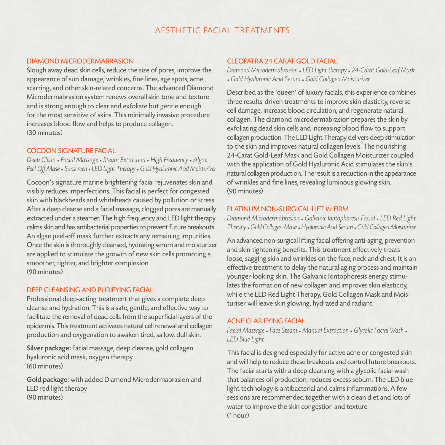### A ESTHETIC FACIAL TREATMENTS

#### DIAMOND MICRODERMABRASION

Slough away dead skin cells, reduce the size of pores, improve the appearance of sun damage, wrinkles, fine lines, age spots, acne scarring, and other skin-related concerns. The advanced Diamond Microdermabrasion system renews overall skin tone and texture and is strong enough to clear and exfoliate but gentle enough for the most sensitive of skins. This minimally invasive procedure increases blood flow and helps to produce collagen. (30 minutes)

#### COCOON SIGNATURE FACIAL

*Deep Clean* • *Facial Massage* • *Steam Extraction* • *High Frequency* • *Algae Peel-Off Mask* • *Sunscreen* • *LED Light Therapy* • *Gold Hyaluronic Acid Moisturizer*

Cocoon's signature marine brightening facial rejuvenates skin and visibly reduces imperfections. This facial is perfect for congested skin with blackheads and whiteheads caused by pollution or stress. After a deep cleanse and a facial massage, clogged pores are manually extracted under a steamer. The high frequency and LED light therapy calms skin and has antibacterial properties to prevent future breakouts. An algae peel-off mask further extracts any remaining impurities. Once the skin is thoroughly cleansed, hydrating serum and moisturizer are applied to stimulate the growth of new skin cells promoting a smoother, tighter, and brighter complexion. (90 minutes)

#### DEEP CLEANSING AND PURIFYING FACIAL

Professional deep-acting treatment that gives a complete deep cleanse and hydration. This is a safe, gentle, and effective way to facilitate the removal of dead cells from the superficial layers of the epidermis. This treatment activates natural cell renewal and collagen production and oxygenation to awaken tired, sallow, dull skin.

Silver package: Facial massage, deep cleanse, gold collagen hyaluronic acid mask, oxygen therapy (60 minutes)

Gold package: with added Diamond Microdermabrasion and LED red light therapy (90 minutes)

#### CLEOPATRA 24 CARAT GOLD FACIAL

*Diamond Microdermabrasion* • *LED Light therapy* • *24-Carat Gold-Leaf Mask* • *Gold Hyaluronic Acid Serum* • *Gold Collagen Moisturizer*

Described as the 'queen' of luxury facials, this experience combines three results-driven treatments to improve skin elasticity, reverse cell damage, increase blood circulation, and regenerate natural collagen. The diamond microdermabrasion prepares the skin by exfoliating dead skin cells and increasing blood flow to support collagen production. The LED Light Therapy delivers deep stimulation to the skin and improves natural collagen levels. The nourishing 24-Carat Gold-Leaf Mask and Gold Collagen Moisturizer coupled with the application of Gold Hyaluronic Acid stimulates the skin's natural collagen production. The result is a reduction in the appearance of wrinkles and fine lines, revealing luminous glowing skin. (90 minutes)

#### PLATINUM NON-SURGICAL LIFT & FIRM

*Diamond Microdermabrasion* • *Galvanic Iontophoresis Facial* • *LED Red Light Therapy* • *Gold Collagen Mask* • *Hyaluronic Acid Serum* • *Gold Collagen Moisturiser*

An advanced non-surgical lifting facial offering anti-aging, prevention and skin tightening benefits. This treatment effectively treats loose, sagging skin and wrinkles on the face, neck and chest. It is an effective treatment to delay the natural aging process and maintain younger-looking skin. The Galvanic Iontophoresis energy stimulates the formation of new collagen and improves skin elasticity, while the LED Red Light Therapy, Gold Collagen Mask and Moisturiser will leave skin glowing, hydrated and radiant.

#### ACNE CLARIFYING FACIAL

*Facial Massage* • *Face Steam* • *Manual Extraction* • *Glycolic Facial Wash* • *LED Blue Light*

This facial is designed especially for active acne or congested skin and will help to reduce these breakouts and control future breakouts. The facial starts with a deep cleansing with a glycolic facial wash that balances oil production, reduces excess sebum. The LED blue light technology is antibacterial and calms inflammations. A few sessions are recommended together with a clean diet and lots of water to improve the skin congestion and texture (1 hour)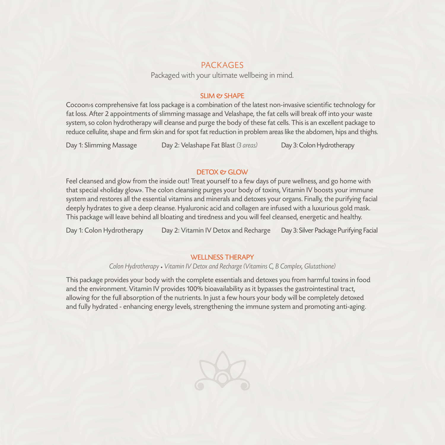### PACKAGES

Packaged with your ultimate wellbeing in mind.

#### SLIM *et* SHAPF

Cocoon›s comprehensive fat loss package is a combination of the latest non-invasive scientific technology for fat loss. After 2 appointments of slimming massage and Velashape, the fat cells will break off into your waste system, so colon hydrotherapy will cleanse and purge the body of these fat cells. This is an excellent package to reduce cellulite, shape and firm skin and for spot fat reduction in problem areas like the abdomen, hips and thighs.

Day 1: Slimming Massage Day 2: Velashape Fat Blast *(3 areas)* Day 3: Colon Hydrotherapy

#### DETOX *PT GLOW*

Feel cleansed and glow from the inside out! Treat yourself to a few days of pure wellness, and go home with that special «holiday glow». The colon cleansing purges your body of toxins, Vitamin IV boosts your immune system and restores all the essential vitamins and minerals and detoxes your organs. Finally, the purifying facial deeply hydrates to give a deep cleanse. Hyaluronic acid and collagen are infused with a luxurious gold mask. This package will leave behind all bloating and tiredness and you will feel cleansed, energetic and healthy.

Day 1: Colon Hydrotherapy Day 2: Vitamin IV Detox and Recharge Day 3: Silver Package Purifying Facial

#### WELL NESS THERAPY

*Colon Hydrotherapy* • *Vitamin IV Detox and Recharge (Vitamins C, B Complex, Glutathione)*

This package provides your body with the complete essentials and detoxes you from harmful toxins in food and the environment. Vitamin IV provides 100% bioavailability as it bypasses the gastrointestinal tract, allowing for the full absorption of the nutrients. In just a few hours your body will be completely detoxed and fully hydrated - enhancing energy levels, strengthening the immune system and promoting anti-aging.

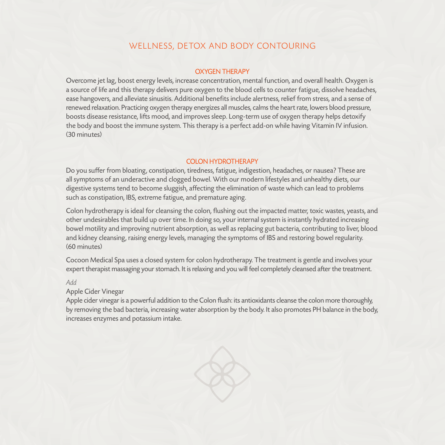### WELLNESS, DETOX AND BODY CONTOURING

#### OXYGEN THERAPY

Overcome jet lag, boost energy levels, increase concentration, mental function, and overall health. Oxygen is a source of life and this therapy delivers pure oxygen to the blood cells to counter fatigue, dissolve headaches, ease hangovers, and alleviate sinusitis. Additional benefits include alertness, relief from stress, and a sense of renewed relaxation. Practicing oxygen therapy energizes all muscles, calms the heart rate, lowers blood pressure, boosts disease resistance, lifts mood, and improves sleep. Long-term use of oxygen therapy helps detoxify the body and boost the immune system. This therapy is a perfect add-on while having Vitamin IV infusion. (30 minutes)

#### COLON HYDROTHERAPY

Do you suffer from bloating, constipation, tiredness, fatigue, indigestion, headaches, or nausea? These are all symptoms of an underactive and clogged bowel. With our modern lifestyles and unhealthy diets, our digestive systems tend to become sluggish, affecting the elimination of waste which can lead to problems such as constipation, IBS, extreme fatigue, and premature aging.

Colon hydrotherapy is ideal for cleansing the colon, flushing out the impacted matter, toxic wastes, yeasts, and other undesirables that build up over time. In doing so, your internal system is instantly hydrated increasing bowel motility and improving nutrient absorption, as well as replacing gut bacteria, contributing to liver, blood and kidney cleansing, raising energy levels, managing the symptoms of IBS and restoring bowel regularity. (60 minutes)

Cocoon Medical Spa uses a closed system for colon hydrotherapy. The treatment is gentle and involves your expert therapist massaging your stomach. It is relaxing and you will feel completely cleansed after the treatment.

#### *Add*

Apple Cider Vinegar

Apple cider vinegar is a powerful addition to the Colon flush: its antioxidants cleanse the colon more thoroughly, by removing the bad bacteria, increasing water absorption by the body. It also promotes PH balance in the body, increases enzymes and potassium intake.

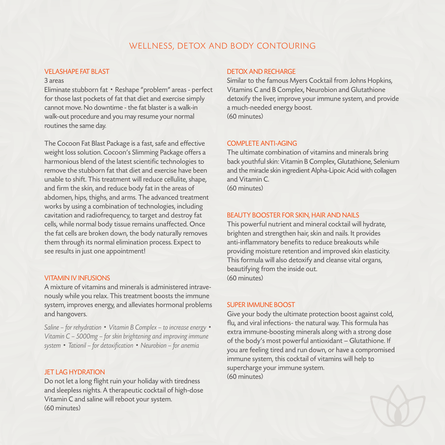### WELLNESS, DETOX AND BODY CONTOURING

#### VELASHAPE FAT BLAST

#### 3 areas

Eliminate stubborn fat • Reshape "problem" areas - perfect for those last pockets of fat that diet and exercise simply cannot move. No downtime - the fat blaster is a walk-in walk-out procedure and you may resume your normal routines the same day.

The Cocoon Fat Blast Package is a fast, safe and effective weight loss solution. Cocoon's Slimming Package offers a harmonious blend of the latest scientific technologies to remove the stubborn fat that diet and exercise have been unable to shift. This treatment will reduce cellulite, shape, and firm the skin, and reduce body fat in the areas of abdomen, hips, thighs, and arms. The advanced treatment works by using a combination of technologies, including cavitation and radiofrequency, to target and destroy fat cells, while normal body tissue remains unaffected. Once the fat cells are broken down, the body naturally removes them through its normal elimination process. Expect to see results in just one appointment!

#### VITAMIN IV INFUSIONS

A mixture of vitamins and minerals is administered intravenously while you relax. This treatment boosts the immune system, improves energy, and alleviates hormonal problems and hangovers.

*Saline – for rehydration* • *Vitamin B Complex – to increase energy* • *Vitamin C – 5000mg – for skin brightening and improving immune system* • *Tationil – for detoxification* • *Neurobion – for anemia*

#### **JFT LAG HYDRATION**

Do not let a long flight ruin your holiday with tiredness and sleepless nights. A therapeutic cocktail of high-dose Vitamin C and saline will reboot your system. (60 minutes)

#### DETOX AND RECHARGE

Similar to the famous Myers Cocktail from Johns Hopkins, Vitamins C and B Complex, Neurobion and Glutathione detoxify the liver, improve your immune system, and provide a much-needed energy boost. (60 minutes)

#### COMPLETE ANTI-AGING

The ultimate combination of vitamins and minerals bring back youthful skin: Vitamin B Complex, Glutathione, Selenium and the miracle skin ingredient Alpha-Lipoic Acid with collagen and Vitamin C. (60 minutes)

#### BEAUTY BOOSTER FOR SKIN, HAIR AND NAILS

This powerful nutrient and mineral cocktail will hydrate, brighten and strengthen hair, skin and nails. It provides anti-inflammatory benefits to reduce breakouts while providing moisture retention and improved skin elasticity. This formula will also detoxify and cleanse vital organs, beautifying from the inside out. (60 minutes)

#### SLIPER IMMUNE BOOST

Give your body the ultimate protection boost against cold, flu, and viral infections- the natural way. This formula has extra immune-boosting minerals along with a strong dose of the body's most powerful antioxidant – Glutathione. If you are feeling tired and run down, or have a compromised immune system, this cocktail of vitamins will help to supercharge your immune system. (60 minutes)